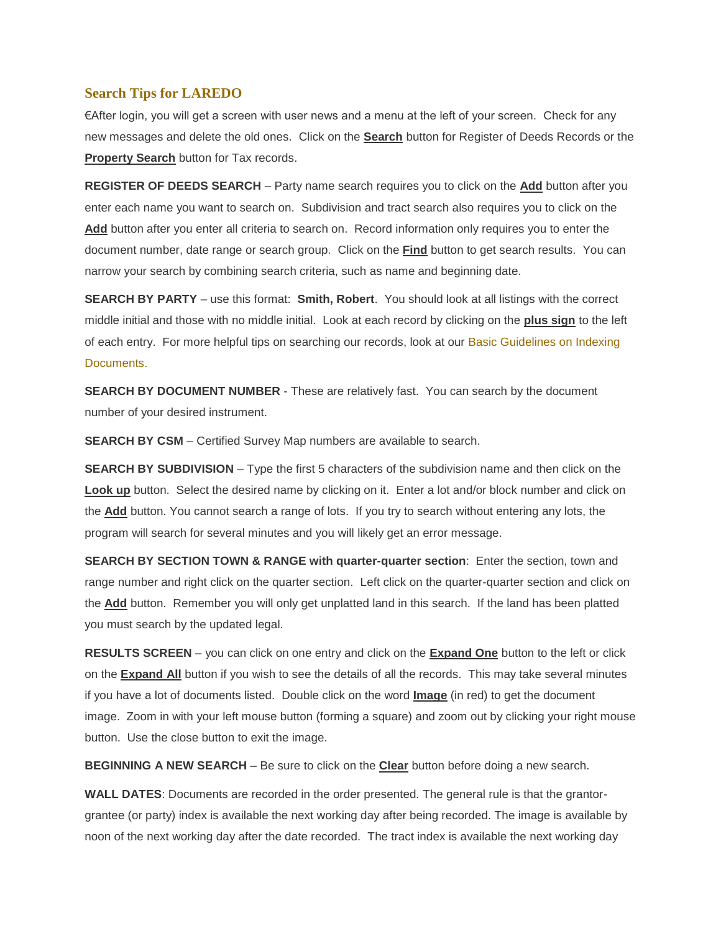## **Search Tips for LAREDO**

€After login, you will get a screen with user news and a menu at the left of your screen. Check for any new messages and delete the old ones. Click on the **Search** button for Register of Deeds Records or the **Property Search** button for Tax records.

**REGISTER OF DEEDS SEARCH** – Party name search requires you to click on the **Add** button after you enter each name you want to search on. Subdivision and tract search also requires you to click on the **Add** button after you enter all criteria to search on. Record information only requires you to enter the document number, date range or search group. Click on the **Find** button to get search results. You can narrow your search by combining search criteria, such as name and beginning date.

**SEARCH BY PARTY** – use this format: **Smith, Robert**. You should look at all listings with the correct middle initial and those with no middle initial. Look at each record by clicking on the **plus sign** to the left of each entry. For more helpful tips on searching our records, look at our Basic [Guidelines](http://www.co.columbia.wi.us/ColumbiaCounty/Portals/1/Searching%20Tips.pdf) on Indexing [Documents.](http://www.co.columbia.wi.us/ColumbiaCounty/Portals/1/Searching%20Tips.pdf)

**SEARCH BY DOCUMENT NUMBER** - These are relatively fast. You can search by the document number of your desired instrument.

**SEARCH BY CSM** – Certified Survey Map numbers are available to search.

**SEARCH BY SUBDIVISION** – Type the first 5 characters of the subdivision name and then click on the Look up button. Select the desired name by clicking on it. Enter a lot and/or block number and click on the **Add** button. You cannot search a range of lots. If you try to search without entering any lots, the program will search for several minutes and you will likely get an error message.

**SEARCH BY SECTION TOWN & RANGE with quarter-quarter section**: Enter the section, town and range number and right click on the quarter section. Left click on the quarter-quarter section and click on the **Add** button. Remember you will only get unplatted land in this search. If the land has been platted you must search by the updated legal.

**RESULTS SCREEN** – you can click on one entry and click on the **Expand One** button to the left or click on the **Expand All** button if you wish to see the details of all the records. This may take several minutes if you have a lot of documents listed. Double click on the word **Image** (in red) to get the document image. Zoom in with your left mouse button (forming a square) and zoom out by clicking your right mouse button. Use the close button to exit the image.

**BEGINNING A NEW SEARCH** – Be sure to click on the **Clear** button before doing a new search.

**WALL DATES**: Documents are recorded in the order presented. The general rule is that the grantorgrantee (or party) index is available the next working day after being recorded. The image is available by noon of the next working day after the date recorded. The tract index is available the next working day